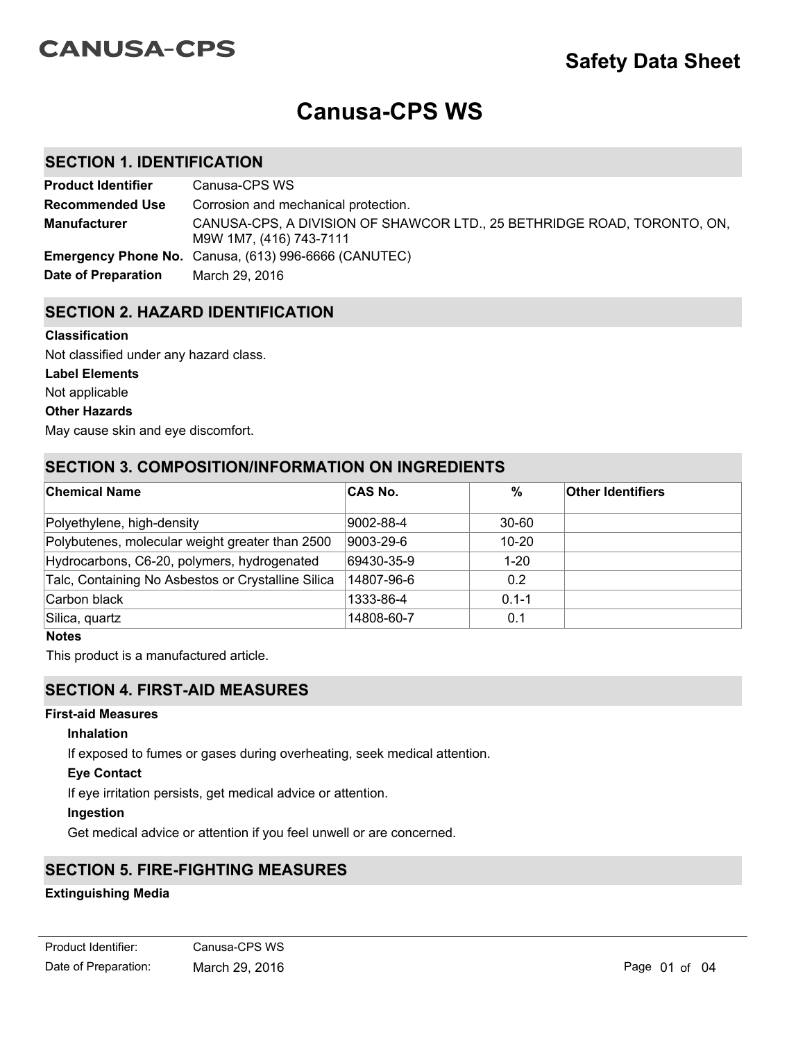# **CANUSA-CPS**

# **Canusa-CPS WS**

## **SECTION 1. IDENTIFICATION**

| <b>Product Identifier</b> | Canusa-CPS WS                                                                                      |
|---------------------------|----------------------------------------------------------------------------------------------------|
| <b>Recommended Use</b>    | Corrosion and mechanical protection.                                                               |
| <b>Manufacturer</b>       | CANUSA-CPS, A DIVISION OF SHAWCOR LTD., 25 BETHRIDGE ROAD, TORONTO, ON,<br>M9W 1M7, (416) 743-7111 |
|                           | <b>Emergency Phone No.</b> Canusa, (613) 996-6666 (CANUTEC)                                        |
| Date of Preparation       | March 29, 2016                                                                                     |

### **SECTION 2. HAZARD IDENTIFICATION**

#### **Classification**

Not classified under any hazard class.

#### **Label Elements**

Not applicable

#### **Other Hazards**

May cause skin and eye discomfort.

## **SECTION 3. COMPOSITION/INFORMATION ON INGREDIENTS**

| <b>Chemical Name</b>                               | <b>CAS No.</b> | $\%$      | <b>Other Identifiers</b> |
|----------------------------------------------------|----------------|-----------|--------------------------|
| Polyethylene, high-density                         | 9002-88-4      | $30 - 60$ |                          |
| Polybutenes, molecular weight greater than 2500    | 9003-29-6      | $10 - 20$ |                          |
| Hydrocarbons, C6-20, polymers, hydrogenated        | 69430-35-9     | $1 - 20$  |                          |
| Talc, Containing No Asbestos or Crystalline Silica | 14807-96-6     | 0.2       |                          |
| Carbon black                                       | 1333-86-4      | $0.1 - 1$ |                          |
| Silica, quartz                                     | 14808-60-7     | 0.1       |                          |

#### **Notes**

This product is a manufactured article.

## **SECTION 4. FIRST-AID MEASURES**

#### **First-aid Measures**

#### **Inhalation**

If exposed to fumes or gases during overheating, seek medical attention.

#### **Eye Contact**

If eye irritation persists, get medical advice or attention.

#### **Ingestion**

Get medical advice or attention if you feel unwell or are concerned.

# **SECTION 5. FIRE-FIGHTING MEASURES**

#### **Extinguishing Media**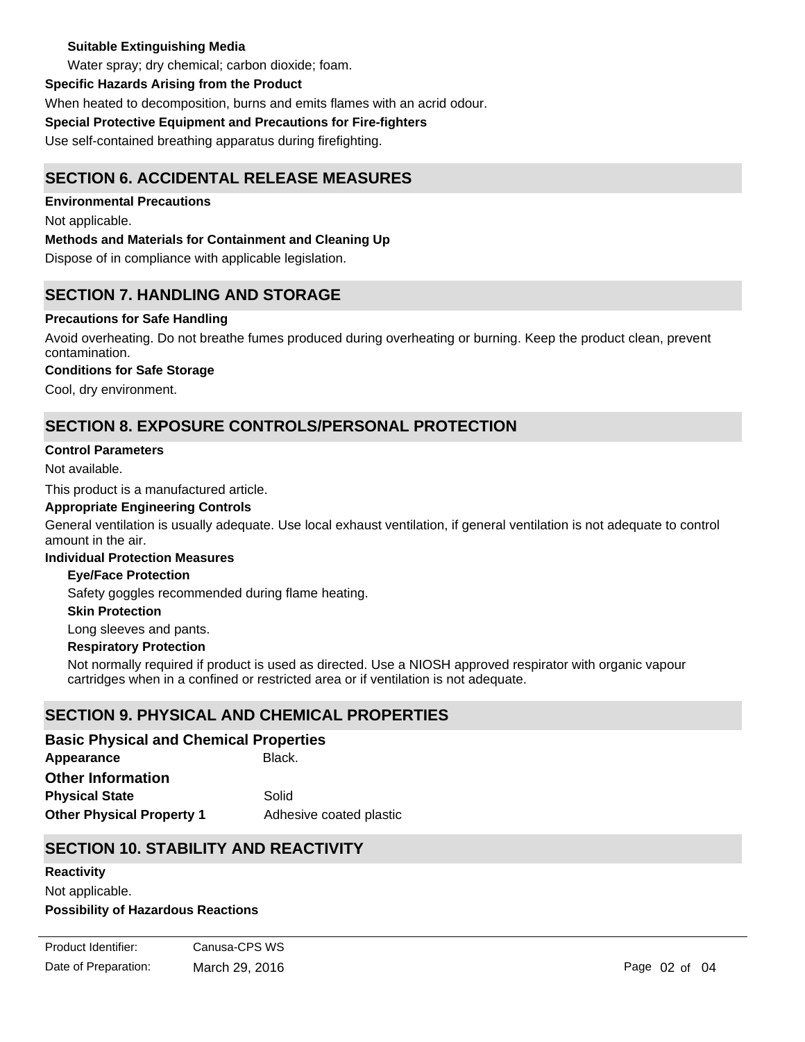#### **Suitable Extinguishing Media**

Water spray; dry chemical; carbon dioxide; foam.

#### **Specific Hazards Arising from the Product**

When heated to decomposition, burns and emits flames with an acrid odour.

### **Special Protective Equipment and Precautions for Fire-fighters**

Use self-contained breathing apparatus during firefighting.

# **SECTION 6. ACCIDENTAL RELEASE MEASURES**

**Environmental Precautions**

Not applicable.

## **Methods and Materials for Containment and Cleaning Up**

Dispose of in compliance with applicable legislation.

# **SECTION 7. HANDLING AND STORAGE**

## **Precautions for Safe Handling**

Avoid overheating. Do not breathe fumes produced during overheating or burning. Keep the product clean, prevent contamination.

## **Conditions for Safe Storage**

Cool, dry environment.

# **SECTION 8. EXPOSURE CONTROLS/PERSONAL PROTECTION**

#### **Control Parameters**

Not available.

This product is a manufactured article.

#### **Appropriate Engineering Controls**

General ventilation is usually adequate. Use local exhaust ventilation, if general ventilation is not adequate to control amount in the air.

#### **Individual Protection Measures**

#### **Eye/Face Protection**

Safety goggles recommended during flame heating.

#### **Skin Protection**

Long sleeves and pants.

#### **Respiratory Protection**

Not normally required if product is used as directed. Use a NIOSH approved respirator with organic vapour cartridges when in a confined or restricted area or if ventilation is not adequate.

## **SECTION 9. PHYSICAL AND CHEMICAL PROPERTIES**

Appearance **Black. Other Physical Property 1** Adhesive coated plastic **Basic Physical and Chemical Properties Physical State** Solid **Other Information**

## **SECTION 10. STABILITY AND REACTIVITY**

Decomposes at elevated temperatures. Avoid strong oxidizers.

#### **Reactivity**

Not applicable.

**Possibility of Hazardous Reactions**

Date of Preparation: March 29, 2016 **Page 02 of 04** Page 02 of 04 Product Identifier: Canusa-CPS WS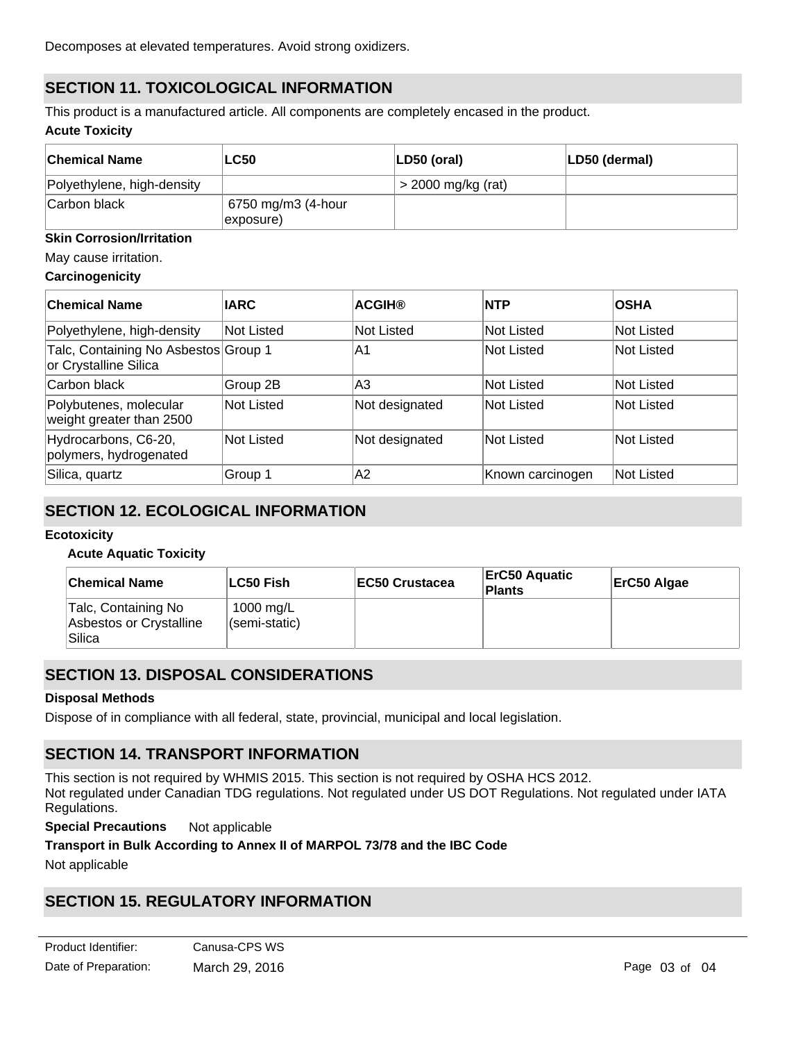# **SECTION 11. TOXICOLOGICAL INFORMATION**

**Acute Toxicity** This product is a manufactured article. All components are completely encased in the product.

| ∣Chemical Name             | <b>LC50</b>                                   | $ LD50$ (oral)       | LD50 (dermal) |
|----------------------------|-----------------------------------------------|----------------------|---------------|
| Polyethylene, high-density |                                               | $>$ 2000 mg/kg (rat) |               |
| Carbon black               | 6750 mg/m3 (4-hour<br>$\ket{\text{exposure}}$ |                      |               |

#### **Skin Corrosion/Irritation**

#### May cause irritation.

#### **Carcinogenicity**

| <b>Chemical Name</b>                                          | <b>IARC</b> | <b>ACGIH®</b>  | <b>INTP</b>       | <b>OSHA</b> |
|---------------------------------------------------------------|-------------|----------------|-------------------|-------------|
| Polyethylene, high-density                                    | Not Listed  | Not Listed     | Not Listed        | Not Listed  |
| Talc, Containing No Asbestos Group 1<br>or Crystalline Silica |             | IA1            | Not Listed        | Not Listed  |
| Carbon black                                                  | Group 2B    | lA3            | Not Listed        | Not Listed  |
| Polybutenes, molecular<br>weight greater than 2500            | Not Listed  | Not designated | Not Listed        | Not Listed  |
| Hydrocarbons, C6-20,<br>polymers, hydrogenated                | Not Listed  | Not designated | <b>Not Listed</b> | Not Listed  |
| Silica, quartz                                                | Group 1     | A2             | Known carcinogen  | Not Listed  |

## **SECTION 12. ECOLOGICAL INFORMATION**

#### **Ecotoxicity**

#### **Acute Aquatic Toxicity**

| <b>Chemical Name</b>                                     | ∣LC50 Fish∶                | <b>IEC50 Crustacea</b> | <b>ErC50 Aquatic</b><br>Plants | ErC50 Algae |
|----------------------------------------------------------|----------------------------|------------------------|--------------------------------|-------------|
| Talc, Containing No<br>Asbestos or Crystalline<br>Silica | 1000 mg/L<br>(semi-static) |                        |                                |             |

## **SECTION 13. DISPOSAL CONSIDERATIONS**

#### **Disposal Methods**

Dispose of in compliance with all federal, state, provincial, municipal and local legislation.

## **SECTION 14. TRANSPORT INFORMATION**

This section is not required by WHMIS 2015. This section is not required by OSHA HCS 2012. Not regulated under Canadian TDG regulations. Not regulated under US DOT Regulations. Not regulated under IATA Regulations.

**Special Precautions** Not applicable

#### **Transport in Bulk According to Annex II of MARPOL 73/78 and the IBC Code**

Not applicable

## **SECTION 15. REGULATORY INFORMATION**